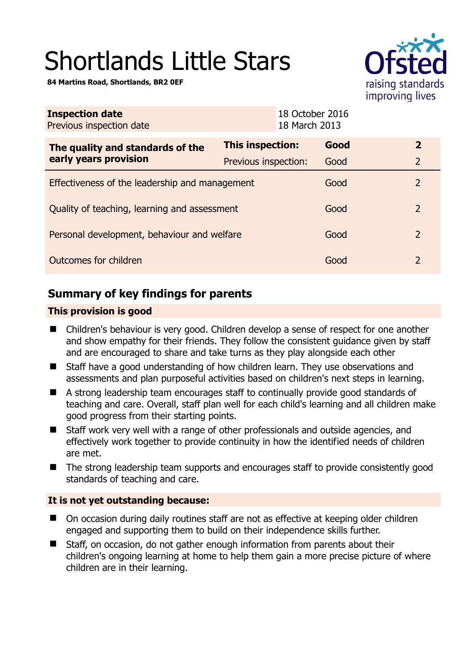# Shortlands Little Stars

**84 Martins Road, Shortlands, BR2 0EF** 



| <b>Inspection date</b><br>Previous inspection date |                         | 18 October 2016<br>18 March 2013 |  |                |
|----------------------------------------------------|-------------------------|----------------------------------|--|----------------|
| The quality and standards of the                   | <b>This inspection:</b> | Good                             |  | $\overline{2}$ |
| early years provision                              | Previous inspection:    | Good                             |  | $\overline{2}$ |
| Effectiveness of the leadership and management     |                         | Good                             |  | $\overline{2}$ |
| Quality of teaching, learning and assessment       |                         | Good                             |  | 2              |
| Personal development, behaviour and welfare        |                         | Good                             |  | 2              |
| Outcomes for children                              |                         | Good                             |  | 2              |

# **Summary of key findings for parents**

## **This provision is good**

- Children's behaviour is very good. Children develop a sense of respect for one another and show empathy for their friends. They follow the consistent guidance given by staff and are encouraged to share and take turns as they play alongside each other
- Staff have a good understanding of how children learn. They use observations and assessments and plan purposeful activities based on children's next steps in learning.
- A strong leadership team encourages staff to continually provide good standards of teaching and care. Overall, staff plan well for each child's learning and all children make good progress from their starting points.
- Staff work very well with a range of other professionals and outside agencies, and effectively work together to provide continuity in how the identified needs of children are met.
- The strong leadership team supports and encourages staff to provide consistently good standards of teaching and care.

## **It is not yet outstanding because:**

- On occasion during daily routines staff are not as effective at keeping older children engaged and supporting them to build on their independence skills further.
- Staff, on occasion, do not gather enough information from parents about their children's ongoing learning at home to help them gain a more precise picture of where children are in their learning.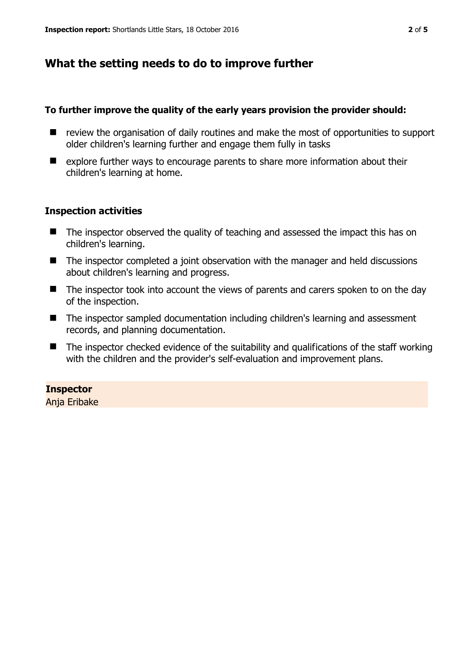## **What the setting needs to do to improve further**

#### **To further improve the quality of the early years provision the provider should:**

- review the organisation of daily routines and make the most of opportunities to support older children's learning further and engage them fully in tasks
- $\blacksquare$  explore further ways to encourage parents to share more information about their children's learning at home.

#### **Inspection activities**

- The inspector observed the quality of teaching and assessed the impact this has on children's learning.
- The inspector completed a joint observation with the manager and held discussions about children's learning and progress.
- The inspector took into account the views of parents and carers spoken to on the day of the inspection.
- The inspector sampled documentation including children's learning and assessment records, and planning documentation.
- $\blacksquare$  The inspector checked evidence of the suitability and qualifications of the staff working with the children and the provider's self-evaluation and improvement plans.

#### **Inspector**

Anja Eribake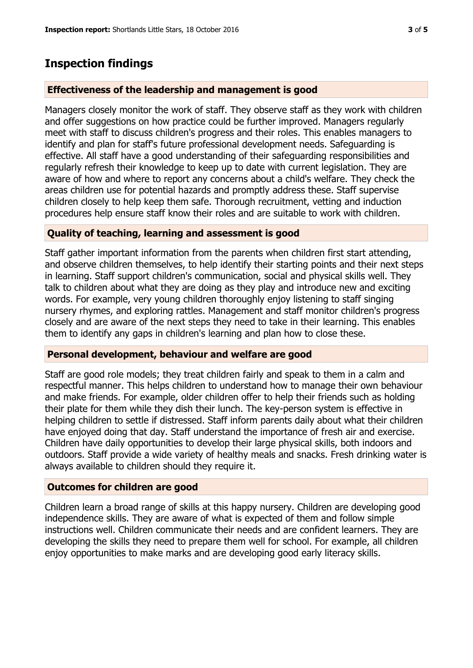# **Inspection findings**

### **Effectiveness of the leadership and management is good**

Managers closely monitor the work of staff. They observe staff as they work with children and offer suggestions on how practice could be further improved. Managers regularly meet with staff to discuss children's progress and their roles. This enables managers to identify and plan for staff's future professional development needs. Safeguarding is effective. All staff have a good understanding of their safeguarding responsibilities and regularly refresh their knowledge to keep up to date with current legislation. They are aware of how and where to report any concerns about a child's welfare. They check the areas children use for potential hazards and promptly address these. Staff supervise children closely to help keep them safe. Thorough recruitment, vetting and induction procedures help ensure staff know their roles and are suitable to work with children.

#### **Quality of teaching, learning and assessment is good**

Staff gather important information from the parents when children first start attending, and observe children themselves, to help identify their starting points and their next steps in learning. Staff support children's communication, social and physical skills well. They talk to children about what they are doing as they play and introduce new and exciting words. For example, very young children thoroughly enjoy listening to staff singing nursery rhymes, and exploring rattles. Management and staff monitor children's progress closely and are aware of the next steps they need to take in their learning. This enables them to identify any gaps in children's learning and plan how to close these.

#### **Personal development, behaviour and welfare are good**

Staff are good role models; they treat children fairly and speak to them in a calm and respectful manner. This helps children to understand how to manage their own behaviour and make friends. For example, older children offer to help their friends such as holding their plate for them while they dish their lunch. The key-person system is effective in helping children to settle if distressed. Staff inform parents daily about what their children have enjoyed doing that day. Staff understand the importance of fresh air and exercise. Children have daily opportunities to develop their large physical skills, both indoors and outdoors. Staff provide a wide variety of healthy meals and snacks. Fresh drinking water is always available to children should they require it.

#### **Outcomes for children are good**

Children learn a broad range of skills at this happy nursery. Children are developing good independence skills. They are aware of what is expected of them and follow simple instructions well. Children communicate their needs and are confident learners. They are developing the skills they need to prepare them well for school. For example, all children enjoy opportunities to make marks and are developing good early literacy skills.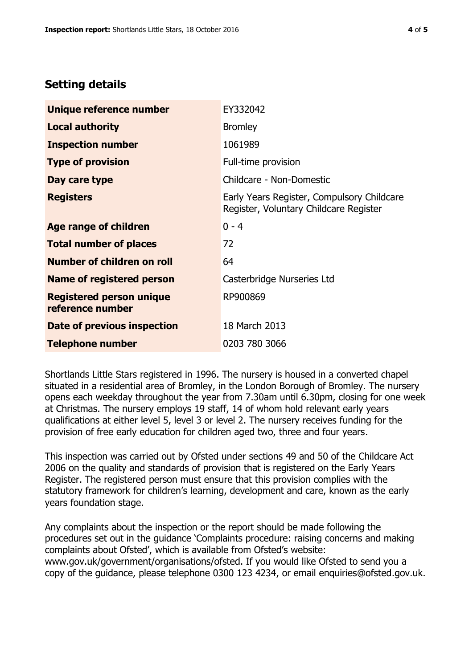## **Setting details**

| Unique reference number                             | EY332042                                                                             |  |
|-----------------------------------------------------|--------------------------------------------------------------------------------------|--|
| <b>Local authority</b>                              | <b>Bromley</b>                                                                       |  |
| <b>Inspection number</b>                            | 1061989                                                                              |  |
| <b>Type of provision</b>                            | Full-time provision                                                                  |  |
| Day care type                                       | Childcare - Non-Domestic                                                             |  |
| <b>Registers</b>                                    | Early Years Register, Compulsory Childcare<br>Register, Voluntary Childcare Register |  |
| Age range of children                               | $0 - 4$                                                                              |  |
| <b>Total number of places</b>                       | 72                                                                                   |  |
| Number of children on roll                          | 64                                                                                   |  |
| Name of registered person                           | Casterbridge Nurseries Ltd                                                           |  |
| <b>Registered person unique</b><br>reference number | RP900869                                                                             |  |
| <b>Date of previous inspection</b>                  | 18 March 2013                                                                        |  |
| <b>Telephone number</b>                             | 0203 780 3066                                                                        |  |

Shortlands Little Stars registered in 1996. The nursery is housed in a converted chapel situated in a residential area of Bromley, in the London Borough of Bromley. The nursery opens each weekday throughout the year from 7.30am until 6.30pm, closing for one week at Christmas. The nursery employs 19 staff, 14 of whom hold relevant early years qualifications at either level 5, level 3 or level 2. The nursery receives funding for the provision of free early education for children aged two, three and four years.

This inspection was carried out by Ofsted under sections 49 and 50 of the Childcare Act 2006 on the quality and standards of provision that is registered on the Early Years Register. The registered person must ensure that this provision complies with the statutory framework for children's learning, development and care, known as the early years foundation stage.

Any complaints about the inspection or the report should be made following the procedures set out in the guidance 'Complaints procedure: raising concerns and making complaints about Ofsted', which is available from Ofsted's website: www.gov.uk/government/organisations/ofsted. If you would like Ofsted to send you a copy of the guidance, please telephone 0300 123 4234, or email enquiries@ofsted.gov.uk.